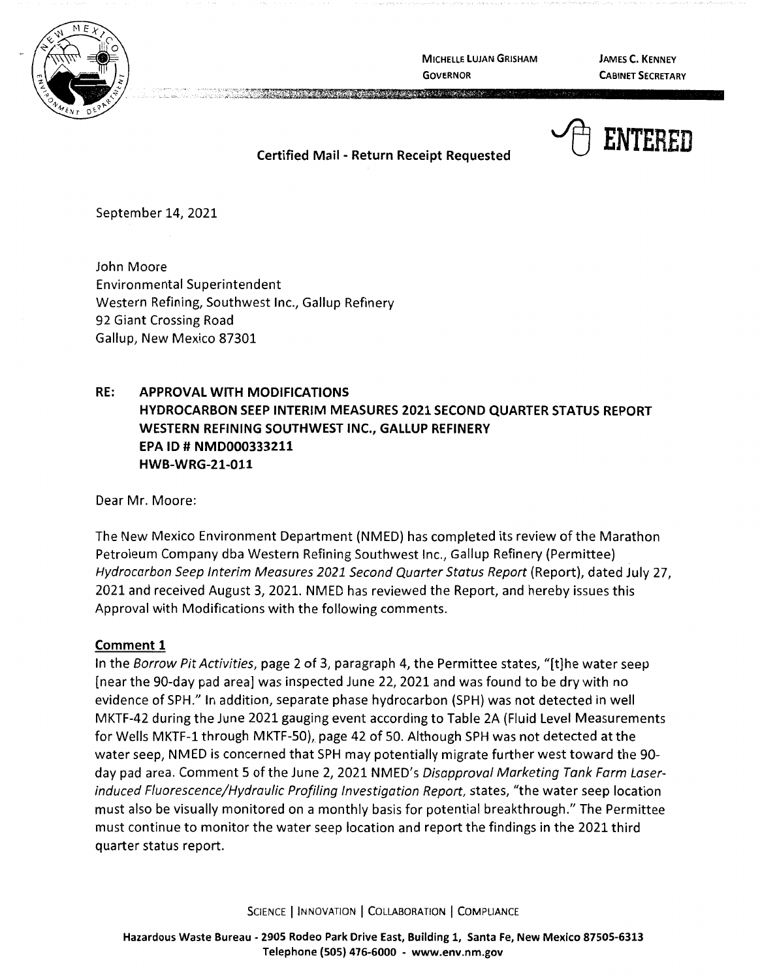

**MICHELLE LUJAN GRISHAM GOVERNOR** 

**JAMES C. KENNEY CABINET SECRETARY** 



**Certified Mail** - **Return Receipt Requested** 

**Production of the Contract Order** 

September 14, 2021

John Moore Environmental Superintendent Western Refining, Southwest Inc., Gallup Refinery 92 Giant Crossing Road Gallup, New Mexico 87301

# **RE: APPROVAL WITH MODIFICATIONS HYDROCARBON SEEP INTERIM MEASURES 2021 SECOND QUARTER STATUS REPORT WESTERN REFINING SOUTHWEST INC., GALLUP REFINERY EPA ID# NMD000333211 HWB-WRG-21-011**

Dear Mr. Moore:

The New Mexico Environment Department (NMED) has completed its review of the Marathon Petroleum Company dba Western Refining Southwest Inc., Gallup Refinery (Permittee) Hydrocarbon Seep Interim Measures 2021 Second Quarter Status Report (Report), dated July 27, 2021 and received August 3, 2021. NMED has reviewed the Report, and hereby issues this Approval with Modifications with the following comments.

## **Comment 1**

In the Borrow Pit Activities, page 2 of 3, paragraph 4, the Permittee states, "[t]he water seep [near the 90-day pad area] was inspected June 22, 2021 and was found to be dry with no evidence of SPH." In addition, separate phase hydrocarbon (SPH) was not detected in well MKTF-42 during the June 2021 gauging event according to Table 2A (Fluid Level Measurements for Wells MKTF-1 through MKTF-50), page 42 of 50. Although SPH was not detected at the water seep, NMED is concerned that SPH may potentially migrate further west toward the 90 day pad area. Comment 5 of the June 2, 2021 NMED's Disapproval Marketing Tank Farm Laserinduced Fluorescence/Hydraulic Profiling Investigation Report, states, "the water seep location must also be visually monitored on a monthly basis for potential breakthrough." The Permittee must continue to monitor the water seep location and report the findings in the 2021 third quarter status report.

SCIENCE | INNOVATION | COLLABORATION | COMPLIANCE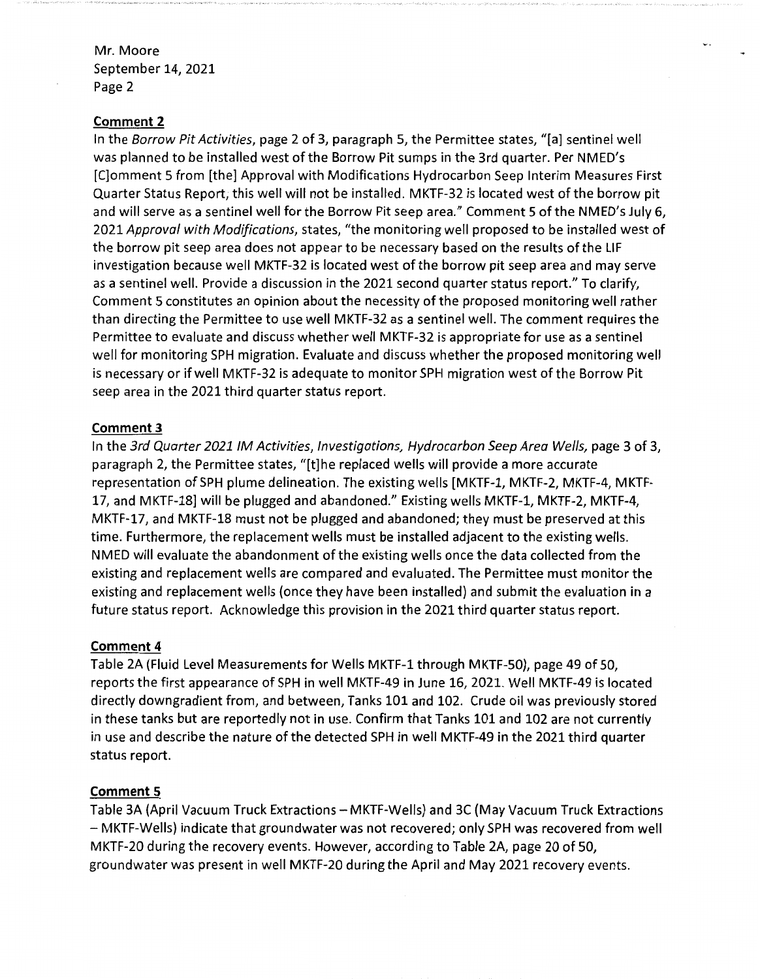Mr. Moore September 14, 2021 Page 2

#### **Comment 2**

In the Borrow Pit Activities, page 2 of 3, paragraph 5, the Permittee states, "[a] sentinel well was planned to be installed west of the Borrow Pit sumps in the 3rd quarter. Per NMED's [C]omment 5 from [the] Approval with Modifications Hydrocarbon Seep Interim Measures First Quarter Status Report, this well will not be installed. MKTF-32 is located west of the borrow pit and will serve as a sentinel well for the Borrow Pit seep area." Comment 5 of the NMED's July 6, 2021 Approval with Modifications, states, "the monitoring well proposed to be installed west of the borrow pit seep area does not appear to be necessary based on the results of the LIF investigation because well MKTF-32 is located west of the borrow pit seep area and may serve as a sentinel well. Provide a discussion in the 2021 second quarter status report." To clarify, Comment 5 constitutes an opinion about the necessity of the proposed monitoring well rather than directing the Permittee to use well MKTF-32 as a sentinel well. The comment requires the Permittee to evaluate and discuss whether well MKTF-32 is appropriate for use as a sentinel well for monitoring SPH migration. Evaluate and discuss whether the proposed monitoring well is necessary or if well MKTF-32 is adequate to monitor SPH migration west of the Borrow Pit seep area in the 2021 third quarter status report.

## **Comment 3**

In the 3rd Quarter 2021 IM Activities, Investigations, Hydrocarbon Seep Area Wells, page 3 of 3, paragraph 2, the Permittee states, "[t]he replaced wells will provide a more accurate representation of SPH plume delineation. The existing wells [MKTF-1, MKTF-2, MKTF-4, MKTF-17, and MKTF-18] will be plugged and abandoned." Existing wells MKTF-1, MKTF-2, MKTF-4, MKTF-17, and MKTF-18 must not be plugged and abandoned; they must be preserved at this time. Furthermore, the replacement wells must be installed adjacent to the existing wells. NMED will evaluate the abandonment of the existing wells once the data collected from the existing and replacement wells are compared and evaluated. The Permittee must monitor the existing and replacement wells (once they have been installed) and submit the evaluation in a future status report. Acknowledge this provision in the 2021 third quarter status report.

#### **Comment 4**

Table 2A (Fluid Level Measurements for Wells MKTF-1 through MKTF-50), page 49 of 50, reports the first appearance of SPH in well MKTF-49 in June 16, 2021. Well MKTF-49 is located directly downgradient from, and between, Tanks 101 and 102. Crude oil was previously stored in these tanks but are reportedly not in use. Confirm that Tanks 101 and 102 are not currently in use and describe the nature of the detected SPH in well MKTF-49 in the 2021 third quarter status report.

## **Comment 5**

Table 3A (April Vacuum Truck Extractions - MKTF-Wells) and 3C (May Vacuum Truck Extractions - MKTF-Wells) indicate that groundwater was not recovered; only SPH was recovered from well MKTF-20 during the recovery events. However, according to Table 2A, page 20 of 50, groundwater was present in well MKTF-20 during the April and May 2021 recovery events.